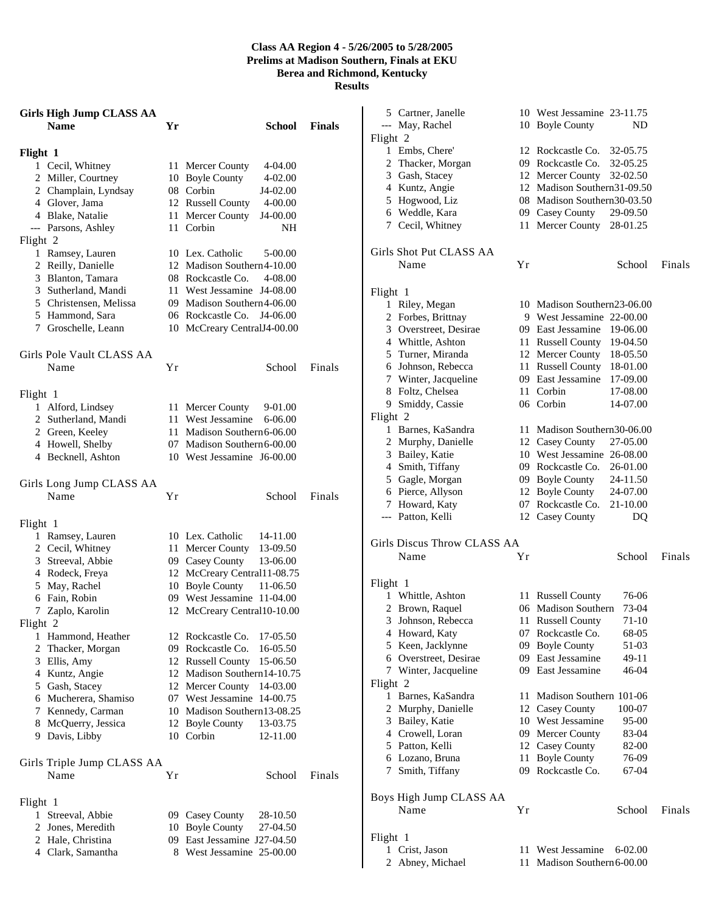## **Class AA Region 4 - 5/26/2005 to 5/28/2005 Prelims at Madison Southern, Finals at EKU Berea and Richmond, Kentucky Results**

| <b>Girls High Jump CLASS AA</b> |                   |                             |               | 5 Cartner, Janelle          |    | 10 West Jessamine 23-11.75      |        |
|---------------------------------|-------------------|-----------------------------|---------------|-----------------------------|----|---------------------------------|--------|
| <b>Name</b>                     | Yr                | School                      | <b>Finals</b> | --- May, Rachel             |    | 10 Boyle County                 | ND     |
|                                 |                   |                             |               | Flight 2                    |    |                                 |        |
| Flight 1                        |                   |                             |               | 1 Embs, Chere'              |    | 12 Rockcastle Co. 32-05.75      |        |
| 1 Cecil, Whitney                | 11 Mercer County  | 4-04.00                     |               | 2 Thacker, Morgan           |    | 09 Rockcastle Co.<br>32-05.25   |        |
| 2 Miller, Courtney              | 10 Boyle County   | 4-02.00                     |               | 3 Gash, Stacey              |    | 12 Mercer County 32-02.50       |        |
| 2 Champlain, Lyndsay            | 08 Corbin         | J4-02.00                    |               | 4 Kuntz, Angie              |    | 12 Madison Southern31-09.50     |        |
| 4 Glover, Jama                  | 12 Russell County | 4-00.00                     |               | 5 Hogwood, Liz              |    | 08 Madison Southern30-03.50     |        |
| 4 Blake, Natalie                | 11 Mercer County  | J4-00.00                    |               | 6 Weddle, Kara              | 09 | <b>Casey County</b><br>29-09.50 |        |
| --- Parsons, Ashley             | 11 Corbin         | NH                          |               | 7 Cecil, Whitney            |    | 11 Mercer County 28-01.25       |        |
| Flight 2                        |                   |                             |               |                             |    |                                 |        |
| 1 Ramsey, Lauren                | 10 Lex. Catholic  | 5-00.00                     |               | Girls Shot Put CLASS AA     |    |                                 |        |
| 2 Reilly, Danielle              |                   | 12 Madison Southern 4-10.00 |               | Name                        | Yr | School                          | Finals |
| 3 Blanton, Tamara               | 08 Rockcastle Co. | 4-08.00                     |               |                             |    |                                 |        |
| 3 Sutherland, Mandi             |                   | 11 West Jessamine J4-08.00  |               | Flight 1                    |    |                                 |        |
| 5 Christensen, Melissa          |                   | 09 Madison Southern4-06.00  |               | 1 Riley, Megan              |    | 10 Madison Southern23-06.00     |        |
| 5 Hammond, Sara                 |                   | 06 Rockcastle Co. J4-06.00  |               | 2 Forbes, Brittnay          |    | 9 West Jessamine 22-00.00       |        |
| 7 Groschelle, Leann             |                   | 10 McCreary CentralJ4-00.00 |               | 3 Overstreet, Desirae       |    | 09 East Jessamine 19-06.00      |        |
|                                 |                   |                             |               | 4 Whittle, Ashton           |    | 11 Russell County 19-04.50      |        |
| Girls Pole Vault CLASS AA       |                   |                             |               | 5 Turner, Miranda           |    | 12 Mercer County 18-05.50       |        |
| Name                            | Yr                | School                      | Finals        | Johnson, Rebecca<br>6       |    | 11 Russell County 18-01.00      |        |
|                                 |                   |                             |               | 7 Winter, Jacqueline        |    | 09 East Jessamine<br>17-09.00   |        |
| Flight 1                        |                   |                             |               | 8 Foltz, Chelsea            |    | 11 Corbin<br>17-08.00           |        |
| 1 Alford, Lindsey               | 11 Mercer County  | 9-01.00                     |               | 9 Smiddy, Cassie            |    | 06 Corbin<br>14-07.00           |        |
| 2 Sutherland, Mandi             | 11 West Jessamine | 6-06.00                     |               | Flight 2                    |    |                                 |        |
| 2 Green, Keeley                 |                   | 11 Madison Southern 6-06.00 |               | 1 Barnes, KaSandra          |    | 11 Madison Southern30-06.00     |        |
| 4 Howell, Shelby                |                   | 07 Madison Southern 6-00.00 |               | 2 Murphy, Danielle          |    | 27-05.00<br>12 Casey County     |        |
| 4 Becknell, Ashton              |                   | 10 West Jessamine J6-00.00  |               | 3 Bailey, Katie             |    | 10 West Jessamine 26-08.00      |        |
|                                 |                   |                             |               | 4 Smith, Tiffany            |    | 09 Rockcastle Co.<br>26-01.00   |        |
| Girls Long Jump CLASS AA        |                   |                             |               | 5 Gagle, Morgan             |    | 09 Boyle County<br>24-11.50     |        |
| Name                            | Yr                | School                      | Finals        | 6 Pierce, Allyson           |    | 12 Boyle County<br>24-07.00     |        |
|                                 |                   |                             |               | 7 Howard, Katy              |    | 07 Rockcastle Co.<br>21-10.00   |        |
| Flight 1                        |                   |                             |               | --- Patton, Kelli           |    | 12 Casey County                 | DQ     |
| 1 Ramsey, Lauren                | 10 Lex. Catholic  | 14-11.00                    |               |                             |    |                                 |        |
| 2 Cecil, Whitney                | 11 Mercer County  | 13-09.50                    |               | Girls Discus Throw CLASS AA |    |                                 |        |
| 3 Streeval, Abbie               | 09 Casey County   | 13-06.00                    |               | Name                        | Yr | School                          | Finals |
| 4 Rodeck, Freya                 |                   | 12 McCreary Central11-08.75 |               |                             |    |                                 |        |
| 5 May, Rachel                   | 10 Boyle County   | 11-06.50                    |               | Flight 1                    |    |                                 |        |
| 6 Fain, Robin                   |                   | 09 West Jessamine 11-04.00  |               | 1 Whittle, Ashton           |    | 11 Russell County<br>76-06      |        |
| 7 Zaplo, Karolin                |                   | 12 McCreary Central10-10.00 |               | 2 Brown, Raquel             |    | 73-04<br>06 Madison Southern    |        |
| Flight 2                        |                   |                             |               | 3 Johnson, Rebecca          |    | 71-10<br>11 Russell County      |        |
| 1 Hammond, Heather              |                   | 12 Rockcastle Co. 17-05.50  |               | 4 Howard, Katy              |    | 07 Rockcastle Co.<br>68-05      |        |
| 2 Thacker, Morgan               |                   | 09 Rockcastle Co. 16-05.50  |               | 5 Keen, Jacklynne           |    | 09 Boyle County<br>51-03        |        |
| 3 Ellis, Amy                    |                   | 12 Russell County 15-06.50  |               | 6 Overstreet, Desirae       |    | 09 East Jessamine<br>49-11      |        |
| 4 Kuntz, Angie                  |                   | 12 Madison Southern14-10.75 |               | 7 Winter, Jacqueline        |    | 09 East Jessamine<br>46-04      |        |
| 5 Gash, Stacey                  |                   | 12 Mercer County 14-03.00   |               | Flight 2                    |    |                                 |        |
| 6 Mucherera, Shamiso            |                   | 07 West Jessamine 14-00.75  |               | 1 Barnes, KaSandra          |    | 11 Madison Southern 101-06      |        |
| 7 Kennedy, Carman               |                   | 10 Madison Southern13-08.25 |               | 2 Murphy, Danielle          |    | 12 Casey County<br>100-07       |        |
| 8 McQuerry, Jessica             | 12 Boyle County   | 13-03.75                    |               | 3 Bailey, Katie             |    | 10 West Jessamine<br>95-00      |        |
| 9 Davis, Libby                  | 10 Corbin         | 12-11.00                    |               | 4 Crowell, Loran            |    | 09 Mercer County<br>83-04       |        |
|                                 |                   |                             |               | 5 Patton, Kelli             |    | 12 Casey County<br>82-00        |        |
| Girls Triple Jump CLASS AA      |                   |                             |               | 6 Lozano, Bruna             |    | 11 Boyle County<br>76-09        |        |
| Name                            | Yr                | School                      | Finals        | 7 Smith, Tiffany            |    | 09 Rockcastle Co.<br>67-04      |        |
|                                 |                   |                             |               |                             |    |                                 |        |
| Flight 1                        |                   |                             |               | Boys High Jump CLASS AA     |    |                                 |        |
| 1 Streeval, Abbie               | 09 Casey County   | 28-10.50                    |               | Name                        | Yr | School                          | Finals |
| 2 Jones, Meredith               | 10 Boyle County   | 27-04.50                    |               |                             |    |                                 |        |
| 2 Hale, Christina               |                   | 09 East Jessamine J27-04.50 |               | Flight 1                    |    |                                 |        |
| 4 Clark, Samantha               |                   | 8 West Jessamine 25-00.00   |               | 1 Crist, Jason              |    | 11 West Jessamine 6-02.00       |        |
|                                 |                   |                             |               | 2 Abney, Michael            |    | 11 Madison Southern 6-00.00     |        |